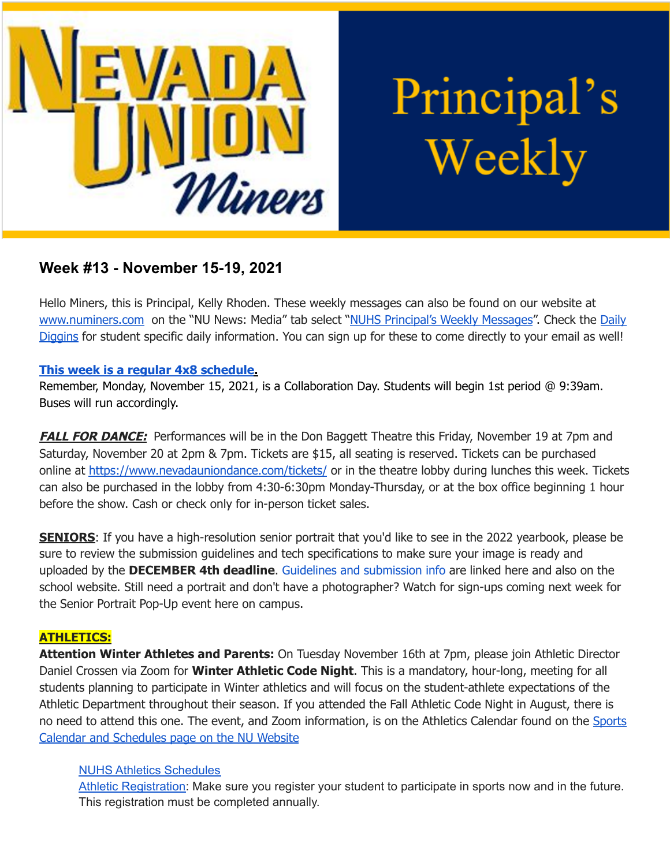

Principal's Weekly

# **Week #13 - November 15-19, 2021**

Hello Miners, this is Principal, Kelly Rhoden. These weekly messages can also be found on our website at [www.numiners.com](http://www.numiners.com) on the "NU News: Media" tab select "NUHS [Principal's](https://nevadaunion.njuhsd.com/NU-NewsMedia/NUHS-Principals-Weekly-Messages/index.html) Weekly Messages". Check the [Daily](https://nevadaunion.njuhsd.com/NU-NewsMedia/Daily-Diggins-Bulletin/index.html) [Diggins](https://nevadaunion.njuhsd.com/NU-NewsMedia/Daily-Diggins-Bulletin/index.html) for student specific daily information. You can sign up for these to come directly to your email as well!

## **This week is a regular 4x8 [schedule](https://nevadaunion.njuhsd.com/documents/Bell%20Schedules/Bell-Schedule-2021-2022-NUHS-4x8.pdf).**

Remember, Monday, November 15, 2021, is a Collaboration Day. Students will begin 1st period @ 9:39am. Buses will run accordingly.

**FALL FOR DANCE:** Performances will be in the Don Baggett Theatre this Friday, November 19 at 7pm and Saturday, November 20 at 2pm & 7pm. Tickets are \$15, all seating is reserved. Tickets can be purchased online at <https://www.nevadauniondance.com/tickets/> or in the theatre lobby during lunches this week. Tickets can also be purchased in the lobby from 4:30-6:30pm Monday-Thursday, or at the box office beginning 1 hour before the show. Cash or check only for in-person ticket sales.

**SENIORS:** If you have a high-resolution senior portrait that you'd like to see in the 2022 yearbook, please be sure to review the submission guidelines and tech specifications to make sure your image is ready and uploaded by the **DECEMBER 4th deadline**. Guidelines and [submission](https://docs.google.com/document/d/17P5-TFO-4mXcn5eLybYp5-8dyIk7HFjskyrAV2eLBbc/edit) info are linked here and also on the school website. Still need a portrait and don't have a photographer? Watch for sign-ups coming next week for the Senior Portrait Pop-Up event here on campus.

## **ATHLETICS:**

**Attention Winter Athletes and Parents:** On Tuesday November 16th at 7pm, please join Athletic Director Daniel Crossen via Zoom for **Winter Athletic Code Night**. This is a mandatory, hour-long, meeting for all students planning to participate in Winter athletics and will focus on the student-athlete expectations of the Athletic Department throughout their season. If you attended the Fall Athletic Code Night in August, there is no need to attend this one. The event, and Zoom information, is on the Athletics Calendar found on the [Sports](https://r20.rs6.net/tn.jsp?f=001MFM9ZQbUk2bnLbTvRPpGNYam7llC5wrYJZido0xj6cmlkPTtIiFivgT7-fH0hRQP-39v-YFZtZEkZvmjiA3WM7eyvJXRj3-Q6iXAVt0dcvLXivkyjeXEdOXN0qqpI-RWkfgKx1luzza_gFGKbgiCEtiAxaOZWygyrf8cL1qmkg-DAEUKeS60Ex4uFZAcRIxSbvB9b4NDbTdeJCM4mBpBDmZqrxRafQ8N&c=B8vXLUpOPo0XFpbcGThzqSEhwS5ZpZAtWH6ZDLlJio8k3mX1E7BUZg==&ch=eyF6CGnx5FPajxEQKlT1P1MtDMC_jB4dcSCAov5wUqBENgAtQQ58vQ==) Calendar and [Schedules](https://r20.rs6.net/tn.jsp?f=001MFM9ZQbUk2bnLbTvRPpGNYam7llC5wrYJZido0xj6cmlkPTtIiFivgT7-fH0hRQP-39v-YFZtZEkZvmjiA3WM7eyvJXRj3-Q6iXAVt0dcvLXivkyjeXEdOXN0qqpI-RWkfgKx1luzza_gFGKbgiCEtiAxaOZWygyrf8cL1qmkg-DAEUKeS60Ex4uFZAcRIxSbvB9b4NDbTdeJCM4mBpBDmZqrxRafQ8N&c=B8vXLUpOPo0XFpbcGThzqSEhwS5ZpZAtWH6ZDLlJio8k3mX1E7BUZg==&ch=eyF6CGnx5FPajxEQKlT1P1MtDMC_jB4dcSCAov5wUqBENgAtQQ58vQ==) page on the NU Website

#### NUHS Athletics [Schedules](https://nevadaunion.njuhsd.com/Athletics/Sports-Calendar--Schedules/index.html)

Athletic [Registration:](https://nevadaunion.njuhsd.com/Athletics/How-to-Register-For-a-Sport/index.html) Make sure you register your student to participate in sports now and in the future. This registration must be completed annually.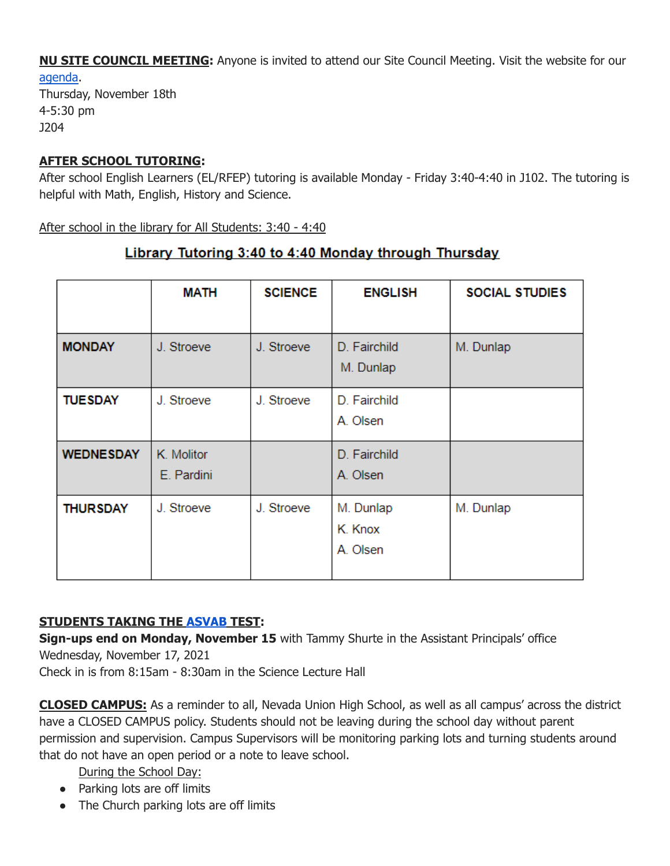**NU SITE COUNCIL MEETING:** Anyone is invited to attend our Site Council Meeting. Visit the website for our [agenda.](https://nevadaunion.njuhsd.com/Information/Site-Council/index.html)

Thursday, November 18th 4-5:30 pm J204

# **AFTER SCHOOL TUTORING:**

After school English Learners (EL/RFEP) tutoring is available Monday - Friday 3:40-4:40 in J102. The tutoring is helpful with Math, English, History and Science.

After school in the library for All Students: 3:40 - 4:40

# Library Tutoring 3:40 to 4:40 Monday through Thursday

|                  | <b>MATH</b>              | <b>SCIENCE</b> | <b>ENGLISH</b>                   | <b>SOCIAL STUDIES</b> |
|------------------|--------------------------|----------------|----------------------------------|-----------------------|
| <b>MONDAY</b>    | J. Stroeve               | J. Stroeve     | D. Fairchild<br>M. Dunlap        | M. Dunlap             |
| <b>TUESDAY</b>   | J. Stroeve               | J. Stroeve     | D. Fairchild<br>A. Olsen         |                       |
| <b>WEDNESDAY</b> | K. Molitor<br>E. Pardini |                | D. Fairchild<br>A. Olsen         |                       |
| <b>THURSDAY</b>  | J. Stroeve               | J. Stroeve     | M. Dunlap<br>K. Knox<br>A. Olsen | M. Dunlap             |

# **STUDENTS TAKING THE [ASVAB](https://nevadaunion.njuhsd.com/Information/ASVAB/index.html) TEST:**

**Sign-ups end on Monday, November 15** with Tammy Shurte in the Assistant Principals' office Wednesday, November 17, 2021

Check in is from 8:15am - 8:30am in the Science Lecture Hall

**CLOSED CAMPUS:** As a reminder to all, Nevada Union High School, as well as all campus' across the district have a CLOSED CAMPUS policy. Students should not be leaving during the school day without parent permission and supervision. Campus Supervisors will be monitoring parking lots and turning students around that do not have an open period or a note to leave school.

During the School Day:

- Parking lots are off limits
- The Church parking lots are off limits